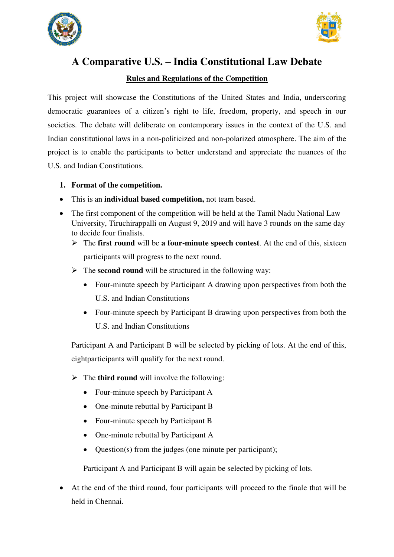



# **A Comparative U.S. – India Constitutional Law Debate**

#### **Rules and Regulations of the Competition**

This project will showcase the Constitutions of the United States and India, underscoring democratic guarantees of a citizen's right to life, freedom, property, and speech in our societies. The debate will deliberate on contemporary issues in the context of the U.S. and Indian constitutional laws in a non-politicized and non-polarized atmosphere. The aim of the project is to enable the participants to better understand and appreciate the nuances of the U.S. and Indian Constitutions.

- **1. Format of the competition.**
- This is an **individual based competition,** not team based.
- The first component of the competition will be held at the Tamil Nadu National Law University, Tiruchirappalli on August 9, 2019 and will have 3 rounds on the same day to decide four finalists.
	- The **first round** will be **a four-minute speech contest**. At the end of this, sixteen participants will progress to the next round.
	- $\triangleright$  The **second round** will be structured in the following way:
		- Four-minute speech by Participant A drawing upon perspectives from both the U.S. and Indian Constitutions
		- Four-minute speech by Participant B drawing upon perspectives from both the U.S. and Indian Constitutions

Participant A and Participant B will be selected by picking of lots. At the end of this, eightparticipants will qualify for the next round.

- $\triangleright$  The **third round** will involve the following:
	- Four-minute speech by Participant A
	- One-minute rebuttal by Participant B
	- Four-minute speech by Participant B
	- One-minute rebuttal by Participant A
	- Question(s) from the judges (one minute per participant);

Participant A and Participant B will again be selected by picking of lots.

 At the end of the third round, four participants will proceed to the finale that will be held in Chennai.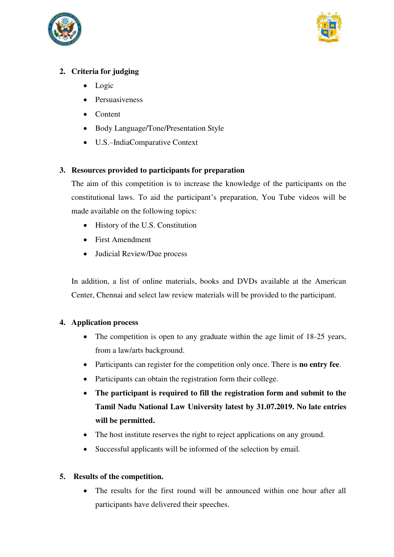



## **2. Criteria for judging**

- Logic
- Persuasiveness
- Content
- Body Language/Tone/Presentation Style
- U.S.–IndiaComparative Context

## **3. Resources provided to participants for preparation**

The aim of this competition is to increase the knowledge of the participants on the constitutional laws. To aid the participant's preparation, You Tube videos will be made available on the following topics:

- History of the U.S. Constitution
- First Amendment
- Judicial Review/Due process

In addition, a list of online materials, books and DVDs available at the American Center, Chennai and select law review materials will be provided to the participant.

## **4. Application process**

- The competition is open to any graduate within the age limit of 18-25 years, from a law/arts background.
- Participants can register for the competition only once. There is **no entry fee**.
- Participants can obtain the registration form their college.
- **The participant is required to fill the registration form and submit to the Tamil Nadu National Law University latest by 31.07.2019. No late entries will be permitted.**
- The host institute reserves the right to reject applications on any ground.
- Successful applicants will be informed of the selection by email*.*

## **5. Results of the competition.**

 The results for the first round will be announced within one hour after all participants have delivered their speeches.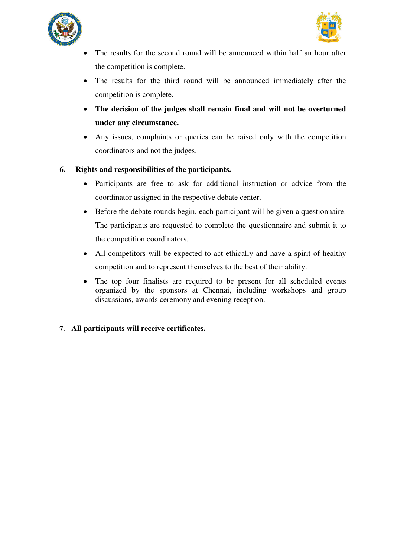



- The results for the second round will be announced within half an hour after the competition is complete.
- The results for the third round will be announced immediately after the competition is complete.
- **The decision of the judges shall remain final and will not be overturned under any circumstance.**
- Any issues, complaints or queries can be raised only with the competition coordinators and not the judges.

#### **6. Rights and responsibilities of the participants.**

- Participants are free to ask for additional instruction or advice from the coordinator assigned in the respective debate center.
- Before the debate rounds begin, each participant will be given a questionnaire. The participants are requested to complete the questionnaire and submit it to the competition coordinators.
- All competitors will be expected to act ethically and have a spirit of healthy competition and to represent themselves to the best of their ability.
- The top four finalists are required to be present for all scheduled events organized by the sponsors at Chennai, including workshops and group discussions, awards ceremony and evening reception.
- **7. All participants will receive certificates.**